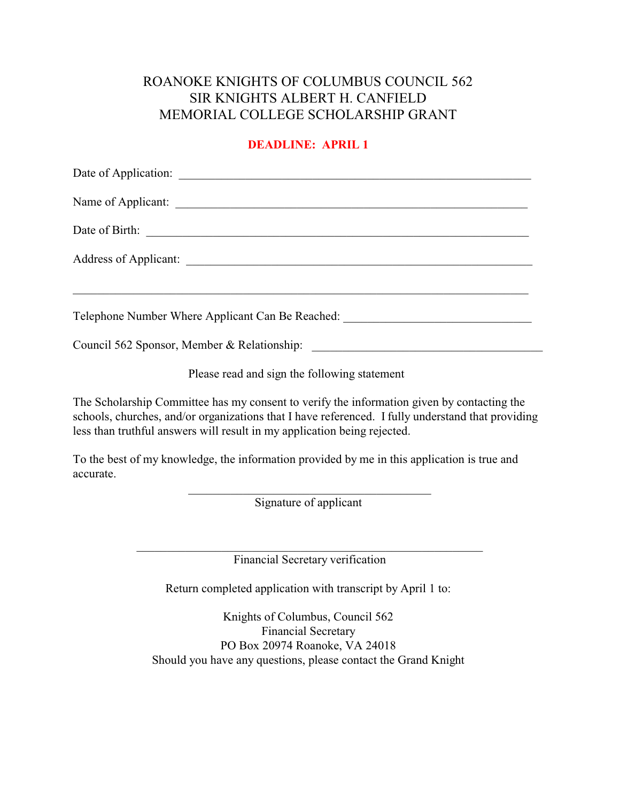### ROANOKE KNIGHTS OF COLUMBUS COUNCIL 562 SIR KNIGHTS ALBERT H. CANFIELD MEMORIAL COLLEGE SCHOLARSHIP GRANT

### **DEADLINE: APRIL 1**

| Telephone Number Where Applicant Can Be Reached: ________________________________ |
|-----------------------------------------------------------------------------------|
| Council 562 Sponsor, Member & Relationship:                                       |

Please read and sign the following statement

The Scholarship Committee has my consent to verify the information given by contacting the schools, churches, and/or organizations that I have referenced. I fully understand that providing less than truthful answers will result in my application being rejected.

To the best of my knowledge, the information provided by me in this application is true and accurate.

> $\overline{\mathcal{L}}$  , and the state of the state of the state of the state of the state of the state of the state of the state of the state of the state of the state of the state of the state of the state of the state of the stat Signature of applicant

\_\_\_\_\_\_\_\_\_\_\_\_\_\_\_\_\_\_\_\_\_\_\_\_\_\_\_\_\_\_\_\_\_\_\_\_\_\_\_\_\_\_\_\_\_\_\_\_\_\_\_\_\_\_\_\_\_ Financial Secretary verification

Return completed application with transcript by April 1 to:

Knights of Columbus, Council 562 Financial Secretary PO Box 20974 Roanoke, VA 24018 Should you have any questions, please contact the Grand Knight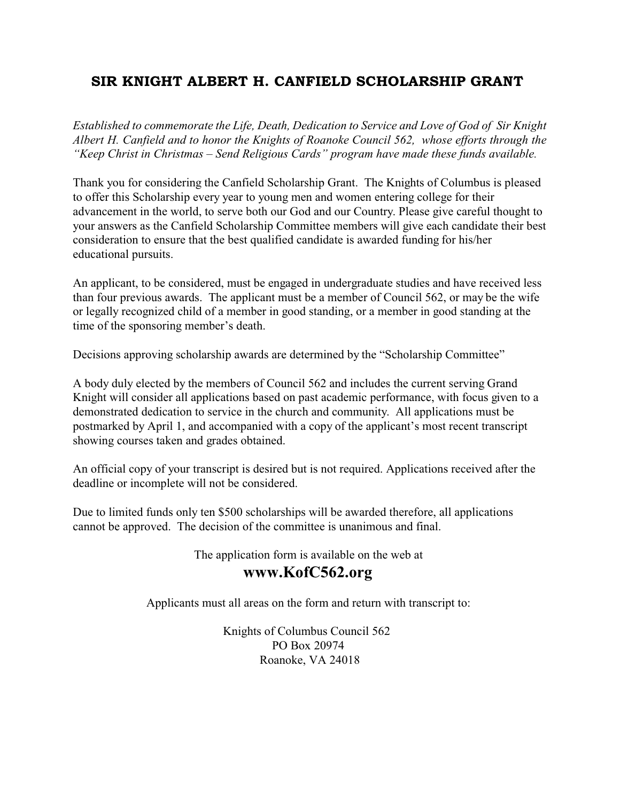## SIR KNIGHT ALBERT H. CANFIELD SCHOLARSHIP GRANT

*Established to commemorate the Life, Death, Dedication to Service and Love of God of Sir Knight Albert H. Canfield and to honor the Knights of Roanoke Council 562, whose efforts through the "Keep Christ in Christmas – Send Religious Cards" program have made these funds available.* 

Thank you for considering the Canfield Scholarship Grant. The Knights of Columbus is pleased to offer this Scholarship every year to young men and women entering college for their advancement in the world, to serve both our God and our Country. Please give careful thought to your answers as the Canfield Scholarship Committee members will give each candidate their best consideration to ensure that the best qualified candidate is awarded funding for his/her educational pursuits.

An applicant, to be considered, must be engaged in undergraduate studies and have received less than four previous awards. The applicant must be a member of Council 562, or may be the wife or legally recognized child of a member in good standing, or a member in good standing at the time of the sponsoring member's death.

Decisions approving scholarship awards are determined by the "Scholarship Committee"

A body duly elected by the members of Council 562 and includes the current serving Grand Knight will consider all applications based on past academic performance, with focus given to a demonstrated dedication to service in the church and community. All applications must be postmarked by April 1, and accompanied with a copy of the applicant's most recent transcript showing courses taken and grades obtained.

An official copy of your transcript is desired but is not required. Applications received after the deadline or incomplete will not be considered.

Due to limited funds only ten \$500 scholarships will be awarded therefore, all applications cannot be approved. The decision of the committee is unanimous and final.

> The application form is available on the web at **www.KofC562.org**

Applicants must all areas on the form and return with transcript to:

Knights of Columbus Council 562 PO Box 20974 Roanoke, VA 24018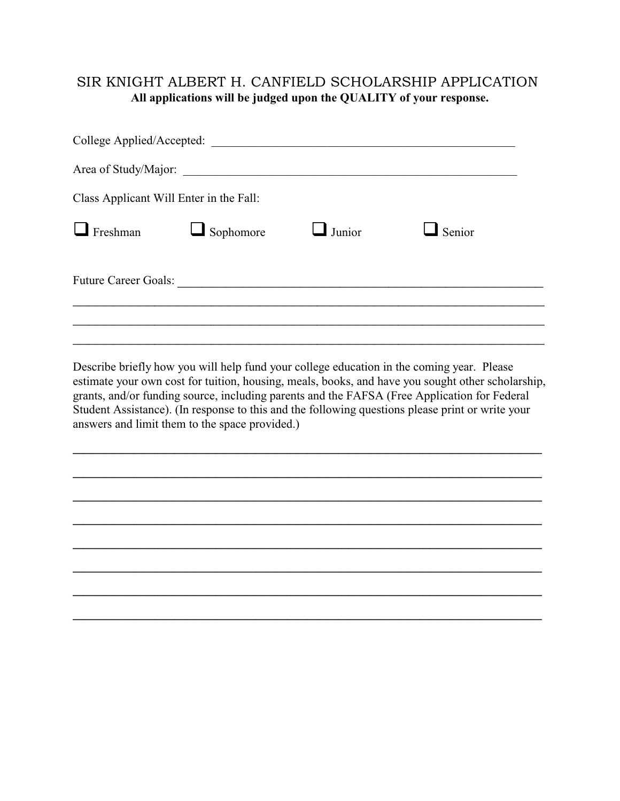### SIR KNIGHT ALBERT H. CANFIELD SCHOLARSHIP APPLICATION **All applications will be judged upon the QUALITY of your response.**

| College Applied/Accepted:               |           |        |               |  |  |
|-----------------------------------------|-----------|--------|---------------|--|--|
|                                         |           |        |               |  |  |
| Class Applicant Will Enter in the Fall: |           |        |               |  |  |
| Freshman                                | Sophomore | Junior | $\Box$ Senior |  |  |
| <b>Future Career Goals:</b>             |           |        |               |  |  |
|                                         |           |        |               |  |  |
|                                         |           |        |               |  |  |

Describe briefly how you will help fund your college education in the coming year. Please estimate your own cost for tuition, housing, meals, books, and have you sought other scholarship, grants, and/or funding source, including parents and the FAFSA (Free Application for Federal Student Assistance). (In response to this and the following questions please print or write your answers and limit them to the space provided.)

 $\mathcal{L}_\text{max}$  and  $\mathcal{L}_\text{max}$  and  $\mathcal{L}_\text{max}$  and  $\mathcal{L}_\text{max}$  and  $\mathcal{L}_\text{max}$  and  $\mathcal{L}_\text{max}$ 

 $\mathcal{L}_\text{max}$  and  $\mathcal{L}_\text{max}$  and  $\mathcal{L}_\text{max}$  and  $\mathcal{L}_\text{max}$  and  $\mathcal{L}_\text{max}$  and  $\mathcal{L}_\text{max}$ 

 $\mathcal{L}_\text{max}$  and  $\mathcal{L}_\text{max}$  and  $\mathcal{L}_\text{max}$  and  $\mathcal{L}_\text{max}$  and  $\mathcal{L}_\text{max}$  and  $\mathcal{L}_\text{max}$ 

 $\mathcal{L}_\text{max}$  and  $\mathcal{L}_\text{max}$  and  $\mathcal{L}_\text{max}$  and  $\mathcal{L}_\text{max}$  and  $\mathcal{L}_\text{max}$  and  $\mathcal{L}_\text{max}$ 

 $\mathcal{L}_\text{max}$  and  $\mathcal{L}_\text{max}$  and  $\mathcal{L}_\text{max}$  and  $\mathcal{L}_\text{max}$  and  $\mathcal{L}_\text{max}$  and  $\mathcal{L}_\text{max}$ 

 $\mathcal{L}_\text{max}$  and  $\mathcal{L}_\text{max}$  and  $\mathcal{L}_\text{max}$  and  $\mathcal{L}_\text{max}$  and  $\mathcal{L}_\text{max}$  and  $\mathcal{L}_\text{max}$ 

 $\mathcal{L}_\text{max}$  and  $\mathcal{L}_\text{max}$  and  $\mathcal{L}_\text{max}$  and  $\mathcal{L}_\text{max}$  and  $\mathcal{L}_\text{max}$  and  $\mathcal{L}_\text{max}$ 

 $\mathcal{L}_\text{max}$  and  $\mathcal{L}_\text{max}$  and  $\mathcal{L}_\text{max}$  and  $\mathcal{L}_\text{max}$  and  $\mathcal{L}_\text{max}$  and  $\mathcal{L}_\text{max}$